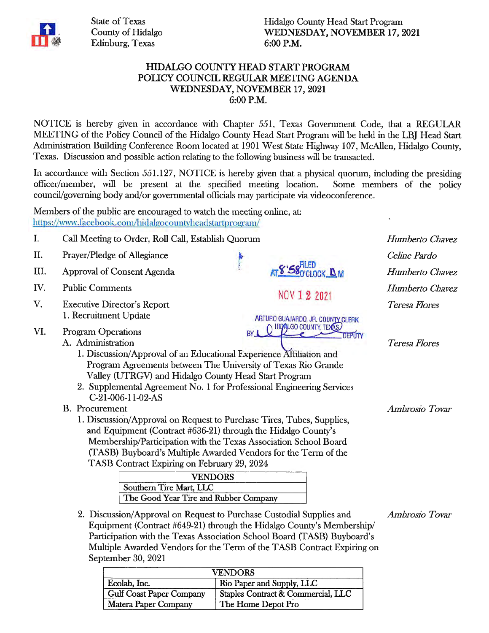

State of Texas County of Hidalgo Edinburg, Texas

Hidalgo County Head Start Program WEDNESDAY, NOVEMBER 17,2021 6:00 P.M.

## HIDALGO COUNTY HEAD START PROGRAM POliCY COUNCIL REGULAR MEETING AGENDA WEDNESDAY, NOVEMBER 17,2021 6:00 P.M.

NOTICE is hereby given in accordance with Chapter 551, Texas Government Code, that a REGULAR MEETING of the Policy Council of the Hidalgo County Head Start Program will be held in the LBJ Head Start Administration Building Conference Room located at 1901 West State Highway 107, McAllen, Hidalgo County, Texas. Discussion and possible action relating to the following business will be transacted.

In accordance with Section 551.127, NOTICE is hereby given that a physical quorum, including the presiding oflicer/member, will be present at the specified meeting location. Some members of the policy council/governing body and/or governmental officials may participate via videoconference.

. Members of the public are encouraged to watch the meeting online, at: https://www.facebook.com/hidalgocountyheadstartprogram/

September 30, 2021

| I.   | Call Meeting to Order, Roll Call, Establish Quorum                                                                                            | Humberto Chavez                               |                      |
|------|-----------------------------------------------------------------------------------------------------------------------------------------------|-----------------------------------------------|----------------------|
| II.  | Prayer/Pledge of Allegiance                                                                                                                   |                                               | Celine Pardo         |
| III. | Approval of Consent Agenda                                                                                                                    | <b>SOCLOCK DM</b>                             | Humberto Chavez      |
| IV.  | <b>Public Comments</b>                                                                                                                        | NOV 1 2 2021                                  | Humberto Chavez      |
| V.   | <b>Executive Director's Report</b>                                                                                                            |                                               | Teresa Flores        |
|      | 1. Recruitment Update                                                                                                                         | ARTURO GUAJARDO, JR. COUNTY CLERK             |                      |
| VI.  | <b>Program Operations</b>                                                                                                                     | <b>HIDALGO COUNTY, TEXAS</b><br><b>DEPUTY</b> |                      |
|      | A. Administration                                                                                                                             |                                               | <b>Teresa Flores</b> |
|      | 1. Discussion/Approval of an Educational Experience Affiliation and                                                                           |                                               |                      |
|      | Program Agreements between The University of Texas Rio Grande                                                                                 |                                               |                      |
|      | Valley (UTRGV) and Hidalgo County Head Start Program                                                                                          |                                               |                      |
|      | 2. Supplemental Agreement No. 1 for Professional Engineering Services                                                                         |                                               |                      |
|      | C-21-006-11-02-AS                                                                                                                             |                                               |                      |
|      | B. Procurement                                                                                                                                |                                               | Ambrosio Tovar       |
|      | 1. Discussion/Approval on Request to Purchase Tires, Tubes, Supplies,                                                                         |                                               |                      |
|      | and Equipment (Contract #636-21) through the Hidalgo County's                                                                                 |                                               |                      |
|      | Membership/Participation with the Texas Association School Board                                                                              |                                               |                      |
|      | (TASB) Buyboard's Multiple Awarded Vendors for the Term of the                                                                                |                                               |                      |
|      | TASB Contract Expiring on February 29, 2024                                                                                                   |                                               |                      |
|      | <b>VENDORS</b>                                                                                                                                |                                               |                      |
|      | Southern Tire Mart, LLC                                                                                                                       |                                               |                      |
|      | The Good Year Tire and Rubber Company                                                                                                         |                                               |                      |
|      | 2. Discussion/Approval on Request to Purchase Custodial Supplies and<br>Equipment (Contract #649-21) through the Hidalgo County's Membership/ |                                               | Ambrosio Tovar       |
|      | Participation with the Texas Association School Board (TASB) Buyboard's                                                                       |                                               |                      |

| <b>VENDORS</b>                  |                                    |  |  |  |
|---------------------------------|------------------------------------|--|--|--|
| Ecolab, Inc.                    | Rio Paper and Supply, LLC          |  |  |  |
| <b>Gulf Coast Paper Company</b> | Staples Contract & Commercial, LLC |  |  |  |
| Matera Paper Company            | The Home Depot Pro                 |  |  |  |

Multiple Awarded Vendors for the Term of the TASB Contract Expiring on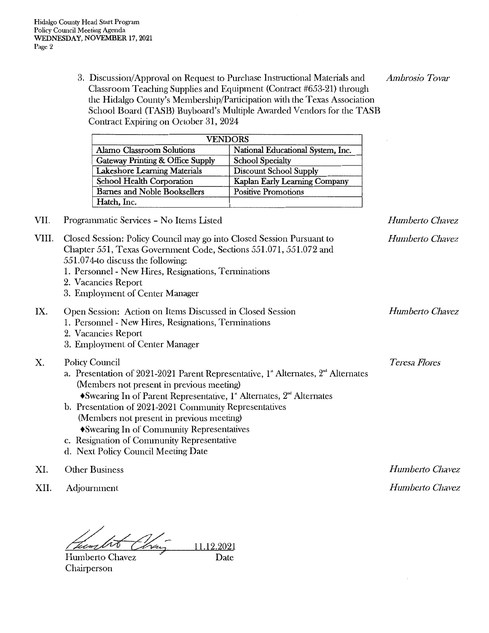3. Discussion/ Approval on Request to Purchase Instructional Materials and *Ambrosio Tovar*  Classroom Teaching Supplies and Equipment (Contract #653-21) through the Hidalgo County's Membership/Participation with the Texas Association School Board (TASB) Buyboard's Multiple Awarded Vendors for the TASB Contract Expiring on October 31, 2024

| <b>VENDORS</b>                      |                                   |  |  |  |
|-------------------------------------|-----------------------------------|--|--|--|
| Alamo Classroom Solutions           | National Educational System, Inc. |  |  |  |
| Gateway Printing & Office Supply    | <b>School Specialty</b>           |  |  |  |
| Lakeshore Learning Materials        | <b>Discount School Supply</b>     |  |  |  |
| School Health Corporation           | Kaplan Early Learning Company     |  |  |  |
| <b>Barnes and Noble Booksellers</b> | <b>Positive Promotions</b>        |  |  |  |
| Hatch, Inc.                         |                                   |  |  |  |

VII. Programmatic Services - No Items Listed

| VIII. | Closed Session: Policy Council may go into Closed Session Pursuant to<br>Chapter 551, Texas Government Code, Sections 551.071, 551.072 and<br>551.074-to discuss the following:<br>1. Personnel - New Hires, Resignations, Terminations<br>2. Vacancies Report<br>3. Employment of Center Manager                                                                                                                                                                                                                         | Humberto Chavez |
|-------|---------------------------------------------------------------------------------------------------------------------------------------------------------------------------------------------------------------------------------------------------------------------------------------------------------------------------------------------------------------------------------------------------------------------------------------------------------------------------------------------------------------------------|-----------------|
| IX.   | Open Session: Action on Items Discussed in Closed Session<br>1. Personnel - New Hires, Resignations, Terminations<br>2. Vacancies Report<br>3. Employment of Center Manager                                                                                                                                                                                                                                                                                                                                               | Humberto Chavez |
| Χ.    | Policy Council<br>a. Presentation of 2021-2021 Parent Representative, $1^{\circ}$ Alternates, $2^{\circ}$ Alternates<br>(Members not present in previous meeting)<br>$\blacklozenge$ Swearing In of Parent Representative, 1 <sup>ª</sup> Alternates, $2^{\omega t}$ Alternates<br>b. Presentation of 2021-2021 Community Representatives<br>(Members not present in previous meeting)<br>• Swearing In of Community Representatives<br>c. Resignation of Community Representative<br>d. Next Policy Council Meeting Date | Teresa Flores   |

XI. Other Business

XII. Adjournment

11.12.2021 Tumb

Humberto Chavez Chairperson

Date

*Humberto Chavez Humberto Chavez* 

*Humberto Chavez*